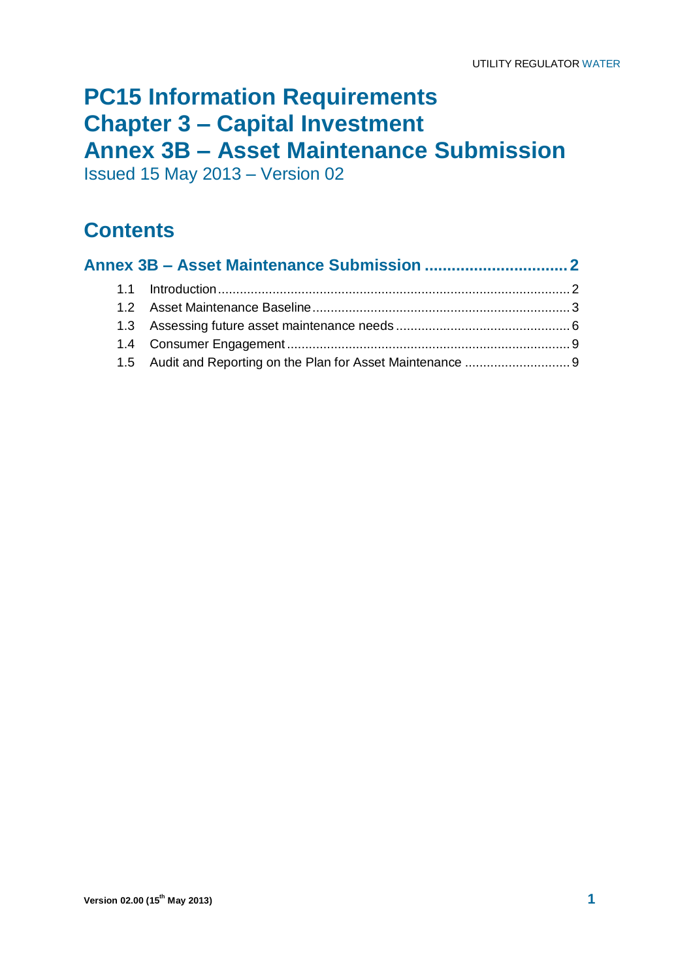## **PC15 Information Requirements Chapter 3 – Capital Investment Annex 3B – Asset Maintenance Submission**

Issued 15 May 2013 – Version 02

## **Contents**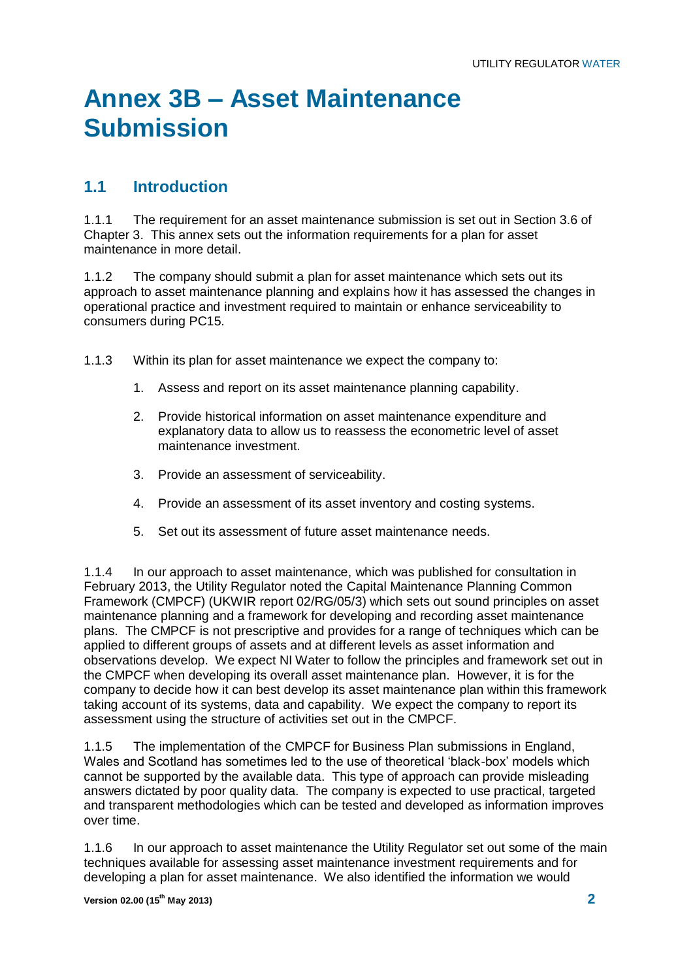# **Annex 3B – Asset Maintenance Submission**

## **1.1 Introduction**

1.1.1 The requirement for an asset maintenance submission is set out in Section 3.6 of Chapter 3. This annex sets out the information requirements for a plan for asset maintenance in more detail.

1.1.2 The company should submit a plan for asset maintenance which sets out its approach to asset maintenance planning and explains how it has assessed the changes in operational practice and investment required to maintain or enhance serviceability to consumers during PC15.

1.1.3 Within its plan for asset maintenance we expect the company to:

- 1. Assess and report on its asset maintenance planning capability.
- 2. Provide historical information on asset maintenance expenditure and explanatory data to allow us to reassess the econometric level of asset maintenance investment.
- 3. Provide an assessment of serviceability.
- 4. Provide an assessment of its asset inventory and costing systems.
- 5. Set out its assessment of future asset maintenance needs.

1.1.4 In our approach to asset maintenance, which was published for consultation in February 2013, the Utility Regulator noted the Capital Maintenance Planning Common Framework (CMPCF) (UKWIR report 02/RG/05/3) which sets out sound principles on asset maintenance planning and a framework for developing and recording asset maintenance plans. The CMPCF is not prescriptive and provides for a range of techniques which can be applied to different groups of assets and at different levels as asset information and observations develop. We expect NI Water to follow the principles and framework set out in the CMPCF when developing its overall asset maintenance plan. However, it is for the company to decide how it can best develop its asset maintenance plan within this framework taking account of its systems, data and capability. We expect the company to report its assessment using the structure of activities set out in the CMPCF.

1.1.5 The implementation of the CMPCF for Business Plan submissions in England, Wales and Scotland has sometimes led to the use of theoretical 'black-box' models which cannot be supported by the available data. This type of approach can provide misleading answers dictated by poor quality data. The company is expected to use practical, targeted and transparent methodologies which can be tested and developed as information improves over time.

1.1.6 In our approach to asset maintenance the Utility Regulator set out some of the main techniques available for assessing asset maintenance investment requirements and for developing a plan for asset maintenance. We also identified the information we would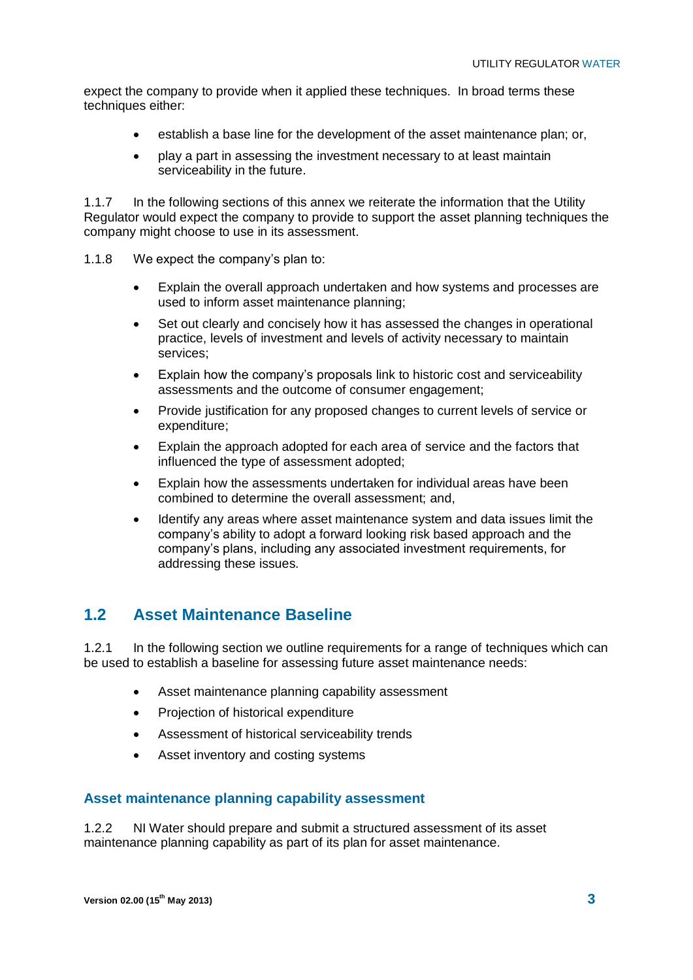expect the company to provide when it applied these techniques. In broad terms these techniques either:

- establish a base line for the development of the asset maintenance plan; or,
- play a part in assessing the investment necessary to at least maintain serviceability in the future.

1.1.7 In the following sections of this annex we reiterate the information that the Utility Regulator would expect the company to provide to support the asset planning techniques the company might choose to use in its assessment.

- 1.1.8 We expect the company's plan to:
	- Explain the overall approach undertaken and how systems and processes are used to inform asset maintenance planning;
	- Set out clearly and concisely how it has assessed the changes in operational practice, levels of investment and levels of activity necessary to maintain services;
	- Explain how the company's proposals link to historic cost and serviceability assessments and the outcome of consumer engagement;
	- Provide justification for any proposed changes to current levels of service or expenditure;
	- Explain the approach adopted for each area of service and the factors that influenced the type of assessment adopted;
	- Explain how the assessments undertaken for individual areas have been combined to determine the overall assessment; and,
	- Identify any areas where asset maintenance system and data issues limit the company's ability to adopt a forward looking risk based approach and the company's plans, including any associated investment requirements, for addressing these issues.

## **1.2 Asset Maintenance Baseline**

1.2.1 In the following section we outline requirements for a range of techniques which can be used to establish a baseline for assessing future asset maintenance needs:

- Asset maintenance planning capability assessment
- Projection of historical expenditure
- Assessment of historical serviceability trends
- Asset inventory and costing systems

#### **Asset maintenance planning capability assessment**

1.2.2 NI Water should prepare and submit a structured assessment of its asset maintenance planning capability as part of its plan for asset maintenance.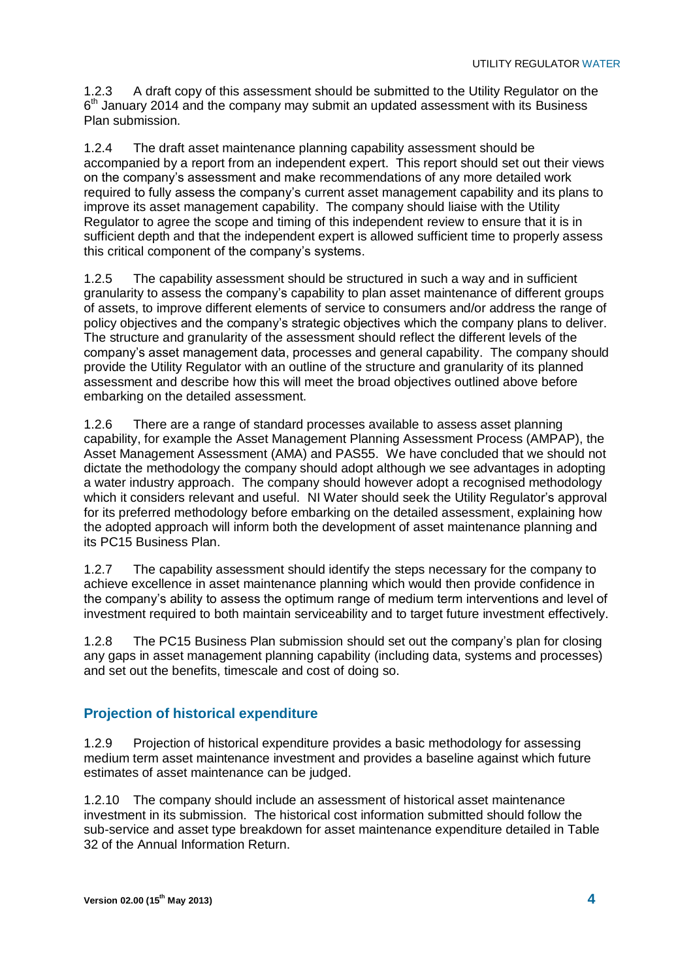1.2.3 A draft copy of this assessment should be submitted to the Utility Regulator on the 6<sup>th</sup> January 2014 and the company may submit an updated assessment with its Business Plan submission.

1.2.4 The draft asset maintenance planning capability assessment should be accompanied by a report from an independent expert. This report should set out their views on the company's assessment and make recommendations of any more detailed work required to fully assess the company's current asset management capability and its plans to improve its asset management capability. The company should liaise with the Utility Regulator to agree the scope and timing of this independent review to ensure that it is in sufficient depth and that the independent expert is allowed sufficient time to properly assess this critical component of the company's systems.

1.2.5 The capability assessment should be structured in such a way and in sufficient granularity to assess the company's capability to plan asset maintenance of different groups of assets, to improve different elements of service to consumers and/or address the range of policy objectives and the company's strategic objectives which the company plans to deliver. The structure and granularity of the assessment should reflect the different levels of the company's asset management data, processes and general capability. The company should provide the Utility Regulator with an outline of the structure and granularity of its planned assessment and describe how this will meet the broad objectives outlined above before embarking on the detailed assessment.

1.2.6 There are a range of standard processes available to assess asset planning capability, for example the Asset Management Planning Assessment Process (AMPAP), the Asset Management Assessment (AMA) and PAS55. We have concluded that we should not dictate the methodology the company should adopt although we see advantages in adopting a water industry approach. The company should however adopt a recognised methodology which it considers relevant and useful. NI Water should seek the Utility Regulator's approval for its preferred methodology before embarking on the detailed assessment, explaining how the adopted approach will inform both the development of asset maintenance planning and its PC15 Business Plan.

1.2.7 The capability assessment should identify the steps necessary for the company to achieve excellence in asset maintenance planning which would then provide confidence in the company's ability to assess the optimum range of medium term interventions and level of investment required to both maintain serviceability and to target future investment effectively.

1.2.8 The PC15 Business Plan submission should set out the company's plan for closing any gaps in asset management planning capability (including data, systems and processes) and set out the benefits, timescale and cost of doing so.

## **Projection of historical expenditure**

1.2.9 Projection of historical expenditure provides a basic methodology for assessing medium term asset maintenance investment and provides a baseline against which future estimates of asset maintenance can be judged.

1.2.10 The company should include an assessment of historical asset maintenance investment in its submission. The historical cost information submitted should follow the sub-service and asset type breakdown for asset maintenance expenditure detailed in Table 32 of the Annual Information Return.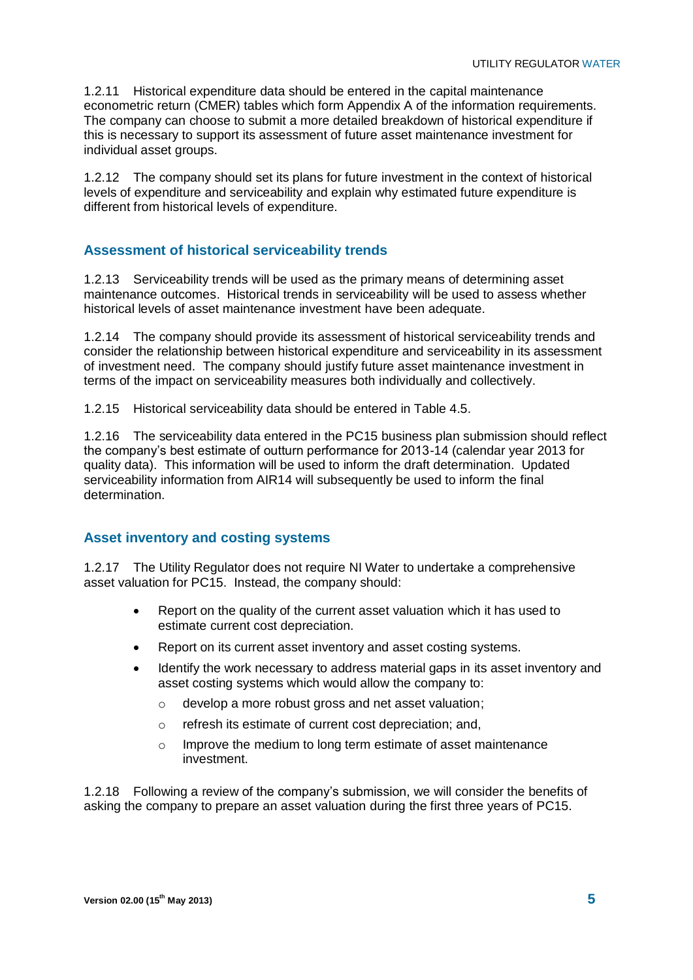1.2.11 Historical expenditure data should be entered in the capital maintenance econometric return (CMER) tables which form Appendix A of the information requirements. The company can choose to submit a more detailed breakdown of historical expenditure if this is necessary to support its assessment of future asset maintenance investment for individual asset groups.

1.2.12 The company should set its plans for future investment in the context of historical levels of expenditure and serviceability and explain why estimated future expenditure is different from historical levels of expenditure.

### **Assessment of historical serviceability trends**

1.2.13 Serviceability trends will be used as the primary means of determining asset maintenance outcomes. Historical trends in serviceability will be used to assess whether historical levels of asset maintenance investment have been adequate.

1.2.14 The company should provide its assessment of historical serviceability trends and consider the relationship between historical expenditure and serviceability in its assessment of investment need. The company should justify future asset maintenance investment in terms of the impact on serviceability measures both individually and collectively.

1.2.15 Historical serviceability data should be entered in Table 4.5.

1.2.16 The serviceability data entered in the PC15 business plan submission should reflect the company's best estimate of outturn performance for 2013-14 (calendar year 2013 for quality data). This information will be used to inform the draft determination. Updated serviceability information from AIR14 will subsequently be used to inform the final determination.

#### **Asset inventory and costing systems**

1.2.17 The Utility Regulator does not require NI Water to undertake a comprehensive asset valuation for PC15. Instead, the company should:

- Report on the quality of the current asset valuation which it has used to estimate current cost depreciation.
- Report on its current asset inventory and asset costing systems.
- Identify the work necessary to address material gaps in its asset inventory and asset costing systems which would allow the company to:
	- o develop a more robust gross and net asset valuation;
	- o refresh its estimate of current cost depreciation; and,
	- o Improve the medium to long term estimate of asset maintenance investment.

1.2.18 Following a review of the company's submission, we will consider the benefits of asking the company to prepare an asset valuation during the first three years of PC15.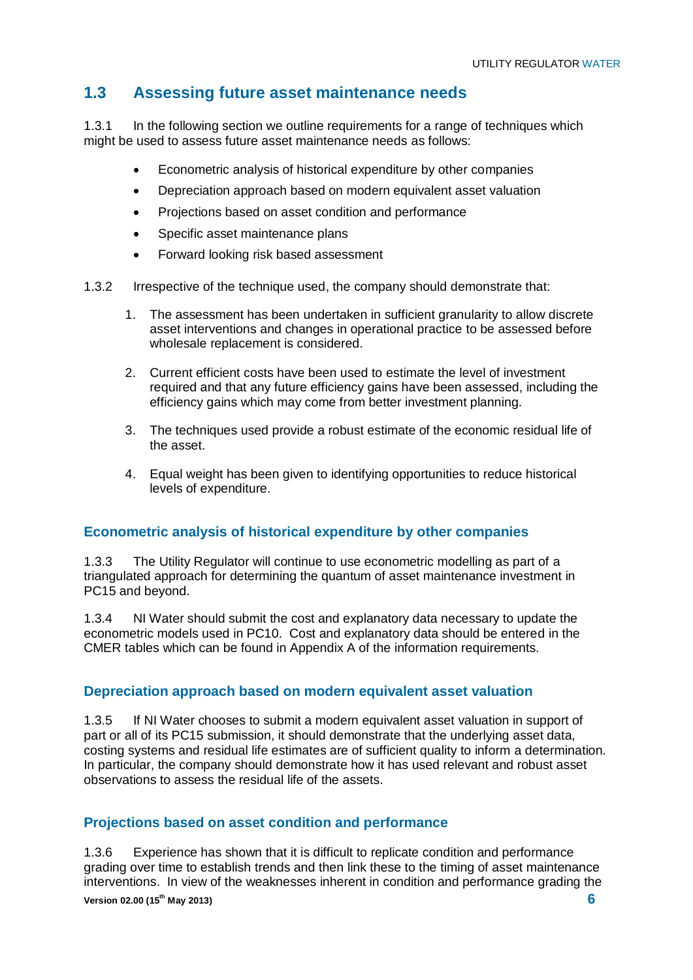## **1.3 Assessing future asset maintenance needs**

1.3.1 In the following section we outline requirements for a range of techniques which might be used to assess future asset maintenance needs as follows:

- Econometric analysis of historical expenditure by other companies
- Depreciation approach based on modern equivalent asset valuation
- Projections based on asset condition and performance
- Specific asset maintenance plans
- Forward looking risk based assessment
- 1.3.2 Irrespective of the technique used, the company should demonstrate that:
	- 1. The assessment has been undertaken in sufficient granularity to allow discrete asset interventions and changes in operational practice to be assessed before wholesale replacement is considered.
	- 2. Current efficient costs have been used to estimate the level of investment required and that any future efficiency gains have been assessed, including the efficiency gains which may come from better investment planning.
	- 3. The techniques used provide a robust estimate of the economic residual life of the asset.
	- 4. Equal weight has been given to identifying opportunities to reduce historical levels of expenditure.

#### **Econometric analysis of historical expenditure by other companies**

1.3.3 The Utility Regulator will continue to use econometric modelling as part of a triangulated approach for determining the quantum of asset maintenance investment in PC15 and beyond.

1.3.4 NI Water should submit the cost and explanatory data necessary to update the econometric models used in PC10. Cost and explanatory data should be entered in the CMER tables which can be found in Appendix A of the information requirements.

#### **Depreciation approach based on modern equivalent asset valuation**

1.3.5 If NI Water chooses to submit a modern equivalent asset valuation in support of part or all of its PC15 submission, it should demonstrate that the underlying asset data, costing systems and residual life estimates are of sufficient quality to inform a determination. In particular, the company should demonstrate how it has used relevant and robust asset observations to assess the residual life of the assets.

#### **Projections based on asset condition and performance**

**Version 02.00 (15th May 2013) 6** 1.3.6 Experience has shown that it is difficult to replicate condition and performance grading over time to establish trends and then link these to the timing of asset maintenance interventions. In view of the weaknesses inherent in condition and performance grading the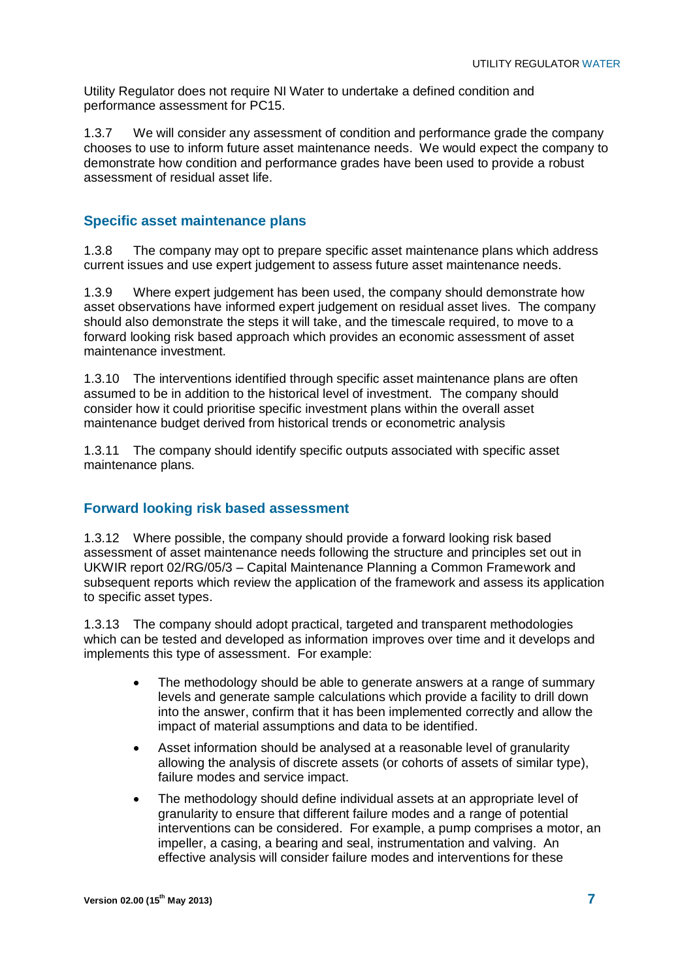Utility Regulator does not require NI Water to undertake a defined condition and performance assessment for PC15.

1.3.7 We will consider any assessment of condition and performance grade the company chooses to use to inform future asset maintenance needs. We would expect the company to demonstrate how condition and performance grades have been used to provide a robust assessment of residual asset life.

### **Specific asset maintenance plans**

1.3.8 The company may opt to prepare specific asset maintenance plans which address current issues and use expert judgement to assess future asset maintenance needs.

1.3.9 Where expert judgement has been used, the company should demonstrate how asset observations have informed expert judgement on residual asset lives. The company should also demonstrate the steps it will take, and the timescale required, to move to a forward looking risk based approach which provides an economic assessment of asset maintenance investment.

1.3.10 The interventions identified through specific asset maintenance plans are often assumed to be in addition to the historical level of investment. The company should consider how it could prioritise specific investment plans within the overall asset maintenance budget derived from historical trends or econometric analysis

1.3.11 The company should identify specific outputs associated with specific asset maintenance plans.

#### **Forward looking risk based assessment**

1.3.12 Where possible, the company should provide a forward looking risk based assessment of asset maintenance needs following the structure and principles set out in UKWIR report 02/RG/05/3 – Capital Maintenance Planning a Common Framework and subsequent reports which review the application of the framework and assess its application to specific asset types.

1.3.13 The company should adopt practical, targeted and transparent methodologies which can be tested and developed as information improves over time and it develops and implements this type of assessment. For example:

- The methodology should be able to generate answers at a range of summary levels and generate sample calculations which provide a facility to drill down into the answer, confirm that it has been implemented correctly and allow the impact of material assumptions and data to be identified.
- Asset information should be analysed at a reasonable level of granularity allowing the analysis of discrete assets (or cohorts of assets of similar type), failure modes and service impact.
- The methodology should define individual assets at an appropriate level of granularity to ensure that different failure modes and a range of potential interventions can be considered. For example, a pump comprises a motor, an impeller, a casing, a bearing and seal, instrumentation and valving. An effective analysis will consider failure modes and interventions for these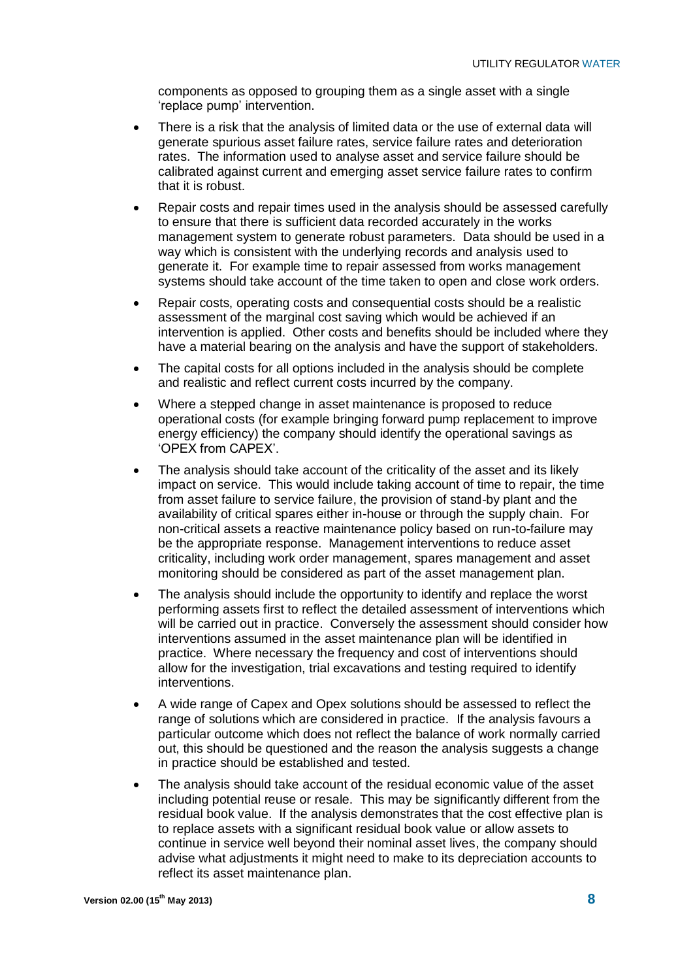components as opposed to grouping them as a single asset with a single 'replace pump' intervention.

- There is a risk that the analysis of limited data or the use of external data will generate spurious asset failure rates, service failure rates and deterioration rates. The information used to analyse asset and service failure should be calibrated against current and emerging asset service failure rates to confirm that it is robust.
- Repair costs and repair times used in the analysis should be assessed carefully to ensure that there is sufficient data recorded accurately in the works management system to generate robust parameters. Data should be used in a way which is consistent with the underlying records and analysis used to generate it. For example time to repair assessed from works management systems should take account of the time taken to open and close work orders.
- Repair costs, operating costs and consequential costs should be a realistic assessment of the marginal cost saving which would be achieved if an intervention is applied. Other costs and benefits should be included where they have a material bearing on the analysis and have the support of stakeholders.
- The capital costs for all options included in the analysis should be complete and realistic and reflect current costs incurred by the company.
- Where a stepped change in asset maintenance is proposed to reduce operational costs (for example bringing forward pump replacement to improve energy efficiency) the company should identify the operational savings as 'OPEX from CAPEX'.
- The analysis should take account of the criticality of the asset and its likely impact on service. This would include taking account of time to repair, the time from asset failure to service failure, the provision of stand-by plant and the availability of critical spares either in-house or through the supply chain. For non-critical assets a reactive maintenance policy based on run-to-failure may be the appropriate response. Management interventions to reduce asset criticality, including work order management, spares management and asset monitoring should be considered as part of the asset management plan.
- The analysis should include the opportunity to identify and replace the worst performing assets first to reflect the detailed assessment of interventions which will be carried out in practice. Conversely the assessment should consider how interventions assumed in the asset maintenance plan will be identified in practice. Where necessary the frequency and cost of interventions should allow for the investigation, trial excavations and testing required to identify interventions.
- A wide range of Capex and Opex solutions should be assessed to reflect the range of solutions which are considered in practice. If the analysis favours a particular outcome which does not reflect the balance of work normally carried out, this should be questioned and the reason the analysis suggests a change in practice should be established and tested.
- The analysis should take account of the residual economic value of the asset including potential reuse or resale. This may be significantly different from the residual book value. If the analysis demonstrates that the cost effective plan is to replace assets with a significant residual book value or allow assets to continue in service well beyond their nominal asset lives, the company should advise what adjustments it might need to make to its depreciation accounts to reflect its asset maintenance plan.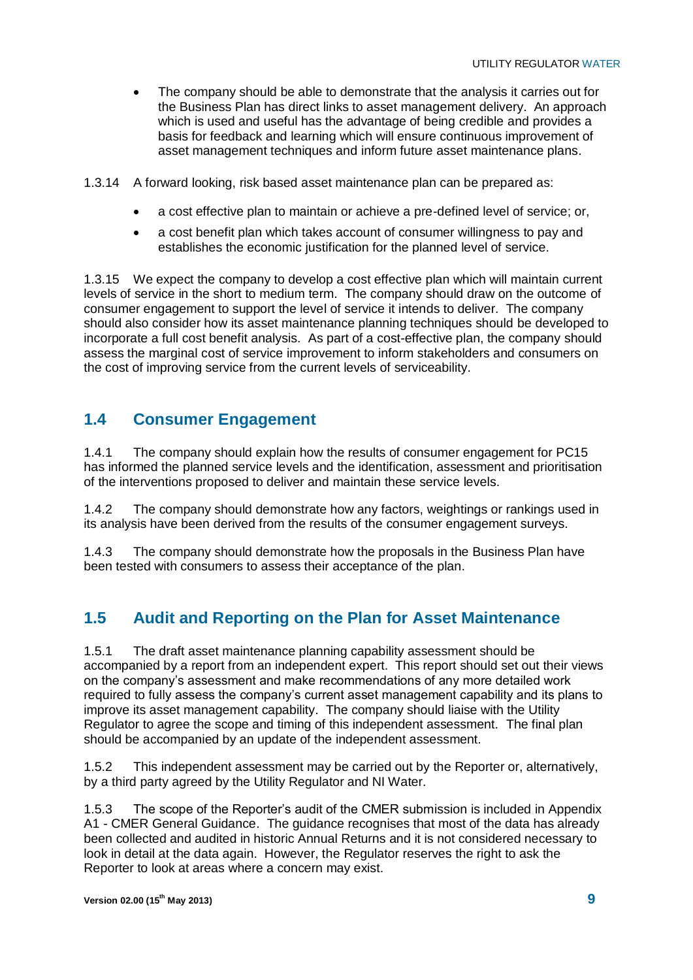The company should be able to demonstrate that the analysis it carries out for the Business Plan has direct links to asset management delivery. An approach which is used and useful has the advantage of being credible and provides a basis for feedback and learning which will ensure continuous improvement of asset management techniques and inform future asset maintenance plans.

1.3.14 A forward looking, risk based asset maintenance plan can be prepared as:

- a cost effective plan to maintain or achieve a pre-defined level of service; or,
- a cost benefit plan which takes account of consumer willingness to pay and establishes the economic justification for the planned level of service.

1.3.15 We expect the company to develop a cost effective plan which will maintain current levels of service in the short to medium term. The company should draw on the outcome of consumer engagement to support the level of service it intends to deliver. The company should also consider how its asset maintenance planning techniques should be developed to incorporate a full cost benefit analysis. As part of a cost-effective plan, the company should assess the marginal cost of service improvement to inform stakeholders and consumers on the cost of improving service from the current levels of serviceability.

## **1.4 Consumer Engagement**

1.4.1 The company should explain how the results of consumer engagement for PC15 has informed the planned service levels and the identification, assessment and prioritisation of the interventions proposed to deliver and maintain these service levels.

1.4.2 The company should demonstrate how any factors, weightings or rankings used in its analysis have been derived from the results of the consumer engagement surveys.

1.4.3 The company should demonstrate how the proposals in the Business Plan have been tested with consumers to assess their acceptance of the plan.

## **1.5 Audit and Reporting on the Plan for Asset Maintenance**

1.5.1 The draft asset maintenance planning capability assessment should be accompanied by a report from an independent expert. This report should set out their views on the company's assessment and make recommendations of any more detailed work required to fully assess the company's current asset management capability and its plans to improve its asset management capability. The company should liaise with the Utility Regulator to agree the scope and timing of this independent assessment. The final plan should be accompanied by an update of the independent assessment.

1.5.2 This independent assessment may be carried out by the Reporter or, alternatively, by a third party agreed by the Utility Regulator and NI Water.

1.5.3 The scope of the Reporter's audit of the CMER submission is included in Appendix A1 - CMER General Guidance. The guidance recognises that most of the data has already been collected and audited in historic Annual Returns and it is not considered necessary to look in detail at the data again. However, the Regulator reserves the right to ask the Reporter to look at areas where a concern may exist.